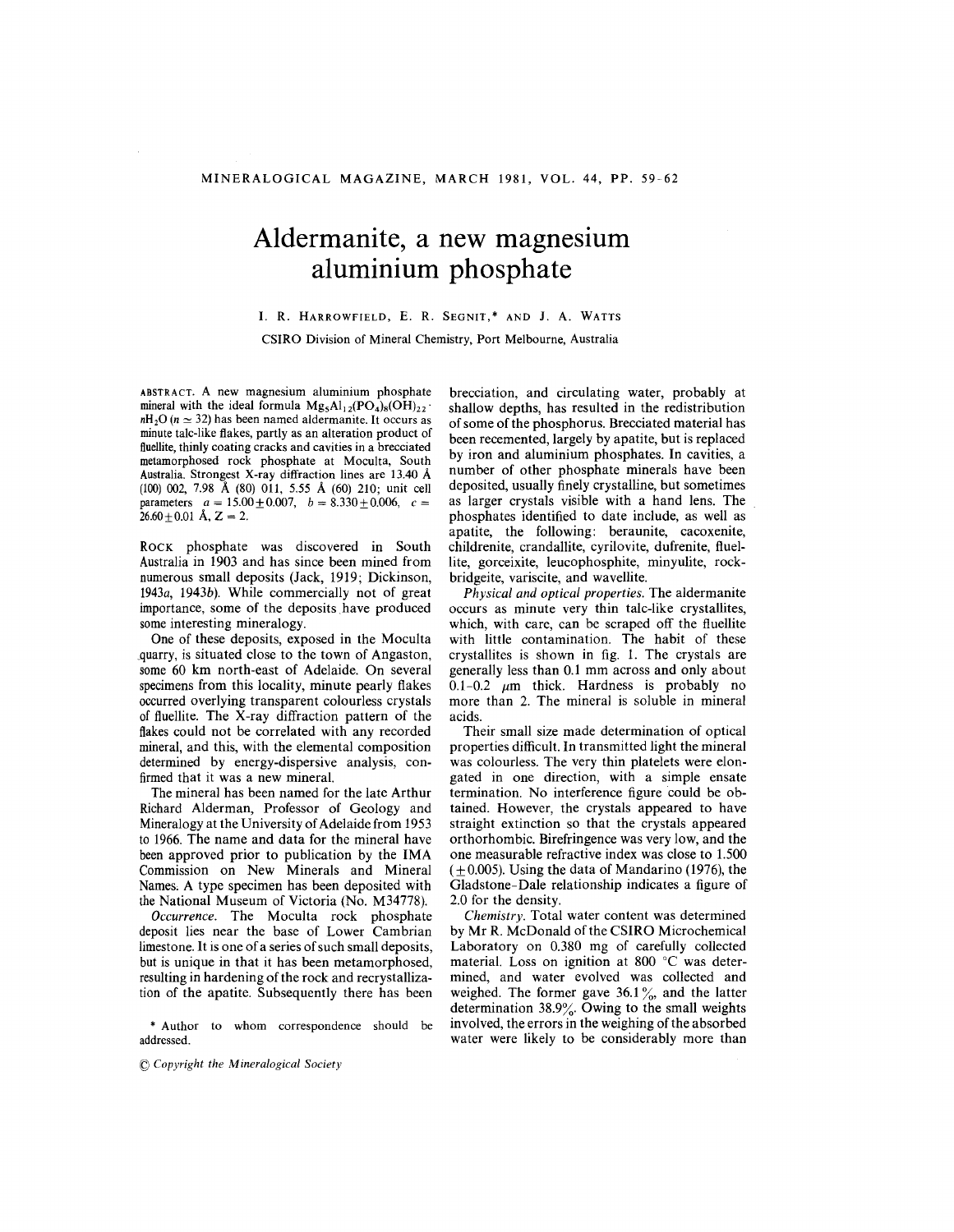## **Aldermanite, a new magnesium aluminium phosphate**

## I. R. HARROWFIELD, E. R. SEGNIT,\* AND J. A. WATTS CSIRO Division of Mineral Chemistry, Port Melbourne, Australia

ABSTRACT. A new magnesium aluminium phosphate mineral with the ideal formula  $Mg_5Al_{12}(PO_4)_8(OH)_{22}$ .  $nH_2O$  ( $n \approx 32$ ) has been named aldermanite. It occurs as minute talc-like flakes, partly as an alteration product of fluellite, thinly coating cracks and cavities in a brecciated metamorphosed rock phosphate at Moculta, South Australia. Strongest X-ray diffraction lines are 13.40 A (100) 002, 7.98 A (80) 011, 5.55 A (60) 210; unit cell parameters  $a = 15.00 \pm 0.007$ ,  $b = 8.330 \pm 0.006$ ,  $c =$  $26.60 \pm 0.01$  A, Z = 2.

ROCK phosphate was discovered in South Australia in 1903 and has since been mined from numerous small deposits (Jack, 1919; Dickinson, *1943a, 1943b).* While commercially not of great importance, some of the deposits have produced some interesting mineralogy.

One of these deposits, exposed in the Moculta .quarry, is situated close to the town of Angaston, some 60 km north-east of Adelaide. On several specimens from this locality, minute pearly flakes occurred overlying transparent colourless crystals of fluellite. The X-ray diffraction pattern of the flakes could not be correlated with any recorded mineral, and this, with the elemental composition determined by energy-dispersive analysis, confirmed that it was a new mineral.

The mineral has been named for the late Arthur Richard Alderman, Professor of Geology and Mineralogy at the University of Adelaide from 1953 to 1966. The name and data for the mineral have been approved prior to publication by the IMA Commission on New Minerals and Mineral Names, A type specimen has been deposited with the National Museum of Victoria (No. M34778).

*Occurrence.* The Moculta rock phosphate deposit lies near the base of Lower Cambrian limestone. It is one of a series of such small deposits, but is unique in that it has been metamorphosed, resulting in hardening of the rock and recrystallization of the apatite. Subsequently there has been

@ *Copyright the Mineralogical Society*

brecciation, and circulating water, probably at shallow depths, has resulted in the redistribution of some of the phosphorus. Brecciated material has been recemented, largely by apatite, but is replaced by iron and aluminium phosphates. In cavities, a number of other phosphate minerals have been deposited, usually finely crystalline, but sometimes as larger crystals visible with a hand lens. The phosphates identified to date include, as well as apatite, the following: beraunite, cacoxenite, childrenite, crandallite, cyrilovite, dufrenite, fluellite, gorceixite, leucophosphite, minyulite, rockbridgeite, variscite, and wavellite.

*Physical and optical properties.* The aldermanite occurs as minute very thin talc-like crystallites, which, with care, can be scraped off the fluellite with little contamination. The habit of these crystallites is shown in fig. 1. The crystals are generally less than 0.1 mm across and only about  $0.1-0.2$   $\mu$ m thick. Hardness is probably no more than 2. The mineral is soluble in mineral acids.

Their small size made determination of optical properties difficult. In transmitted light the mineral was colourless. The very thin platelets were elongated in one direction, with a simple ensate termination. No interference figure could be obtained. However, the crystals appeared to have straight extinction so that the crystals appeared orthorhombic. Birefringence was very low, and the one measurable refractive index was close to 1.500  $(+0.005)$ . Using the data of Mandarino (1976), the Gladstone- Dale relationship indicates a figure of 2.0 for the density.

*Chemistry.* Total water content was determined by Mr R. McDonald of the CSIRO Microchemical Laboratory on 0.380 mg of carefully collected material. Loss on ignition at 800  $^{\circ}$ C was determined, and water evolved was collected and weighed. The former gave  $36.1\%$ , and the latter determination 38.9%. Owing to the small weights involved, the errors in the weighing of the absorbed water were likely to be considerably more than

addressed. Author to whom correspondence should be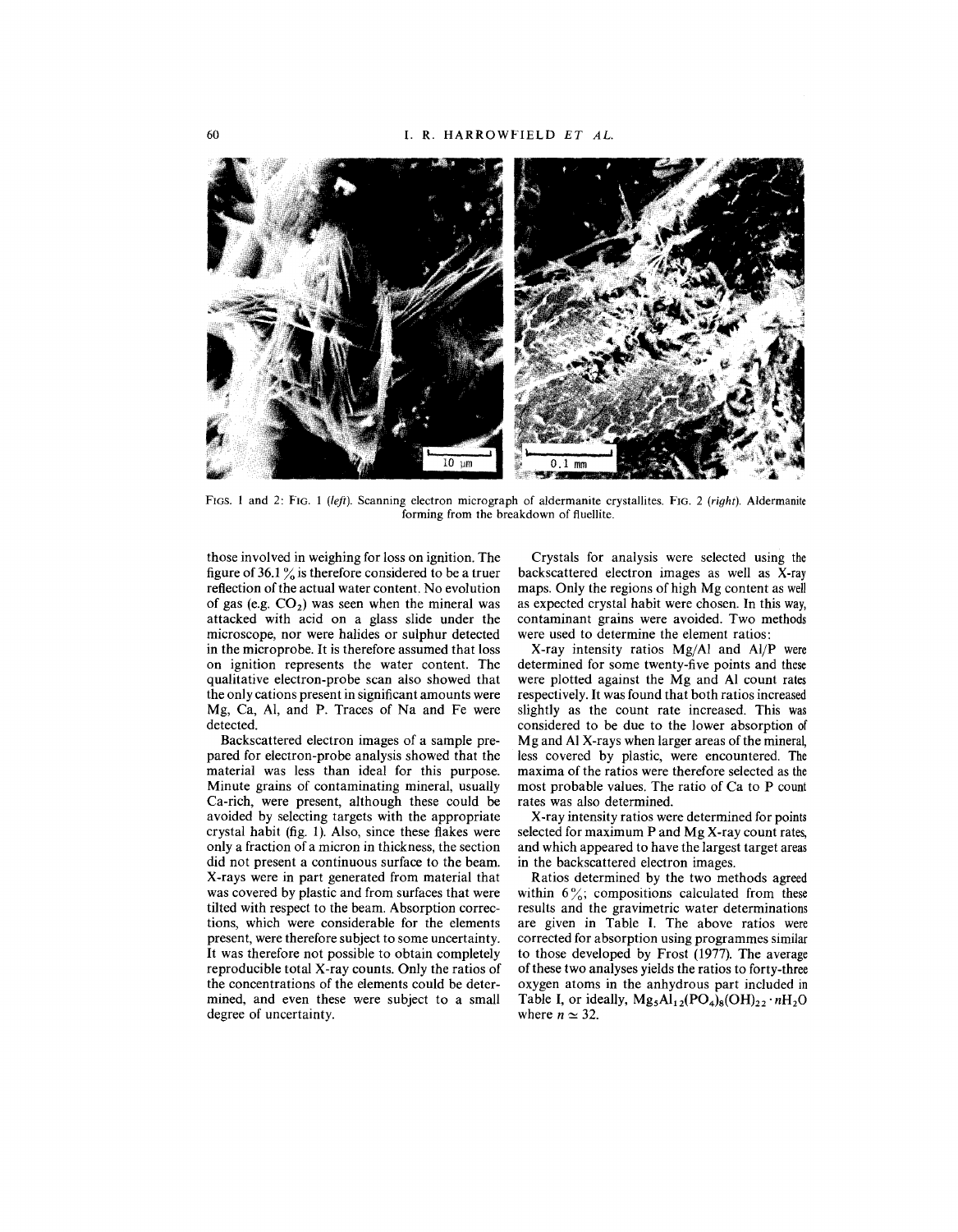

FIGS. 1 and 2: FIG. 1 *(left).* Scanning electron micrograph of aldermanite crystallites. FIG. 2 *(right).* Aldermanite forming from the breakdown of fluellite.

those involved in weighing for loss on ignition. The figure of 36.1  $\%$  is therefore considered to be a truer reflection of the actual water content. No evolution of gas (e.g.  $CO<sub>2</sub>$ ) was seen when the mineral was attacked with acid on a glass slide under the microscope, nor were halides or sulphur detected in the microprobe. It is therefore assumed that loss on ignition represents the water content. The qualitative electron-probe scan also showed that the only cations present in significant amounts were Mg, Ca, AI, and P. Traces of Na and Fe were detected.

Backscattered electron images of a sample prepared for electron-probe analysis showed that the material was less than ideal for this purpose. Minute grains of contaminating mineral, usually Ca-rich, were present, although these could be avoided by selecting targets with the appropriate crystal habit (fig. 1). Also, since these flakes were only a fraction of a micron in thickness, the section did not present a continuous surface to the beam. X-rays were in part generated from material that was covered by plastic and from surfaces that were tilted with respect to the beam. Absorption corrections, which were considerable for the elements present, were therefore subject to some uncertainty. It was therefore not possible to obtain completely reproducible total X-ray counts. Only the ratios of the concentrations of the elements could be determined, and even these were subject to a small degree of uncertainty.

Crystals for analysis were selected using the back scattered electron images as well as X-ray maps. Only the regions of high Mg content as well as expected crystal habit were chosen. In this way, contaminant grains were avoided. Two methods were used to determine the element ratios:

X-ray intensity ratios  $Mg/A1$  and  $Al/P$  were determined for some twenty-five points and these were plotted against the Mg and AI count rates respectively. It was found that both ratios increased slightly as the count rate increased. This was considered to be due to the lower absorption of Mg and AI X-rays when larger areas of the mineraL less covered by plastic, were encountered. The maxima of the ratios were therefore selected as the most probable values. The ratio of Ca to P count rates was also determined.

X-ray intensity ratios were determined for points selected for maximum P and Mg X-ray count rates, and which appeared to have the largest target areas in the backscattered electron images.

Ratios determined by the two methods agreed within  $6\frac{9}{6}$ ; compositions calculated from these results and the gravimetric water determinations are given in Table I. The above ratios were corrected for absorption using programmes similar to those developed by Frost (1977). The average of these two analyses yields the ratios to forty-three oxygen atoms in the anhydrous part included in Table I, or ideally,  $Mg_5Al_{12}(PO_4)_8(OH)_{22} \cdot nH_2O$ where  $n \approx 32$ .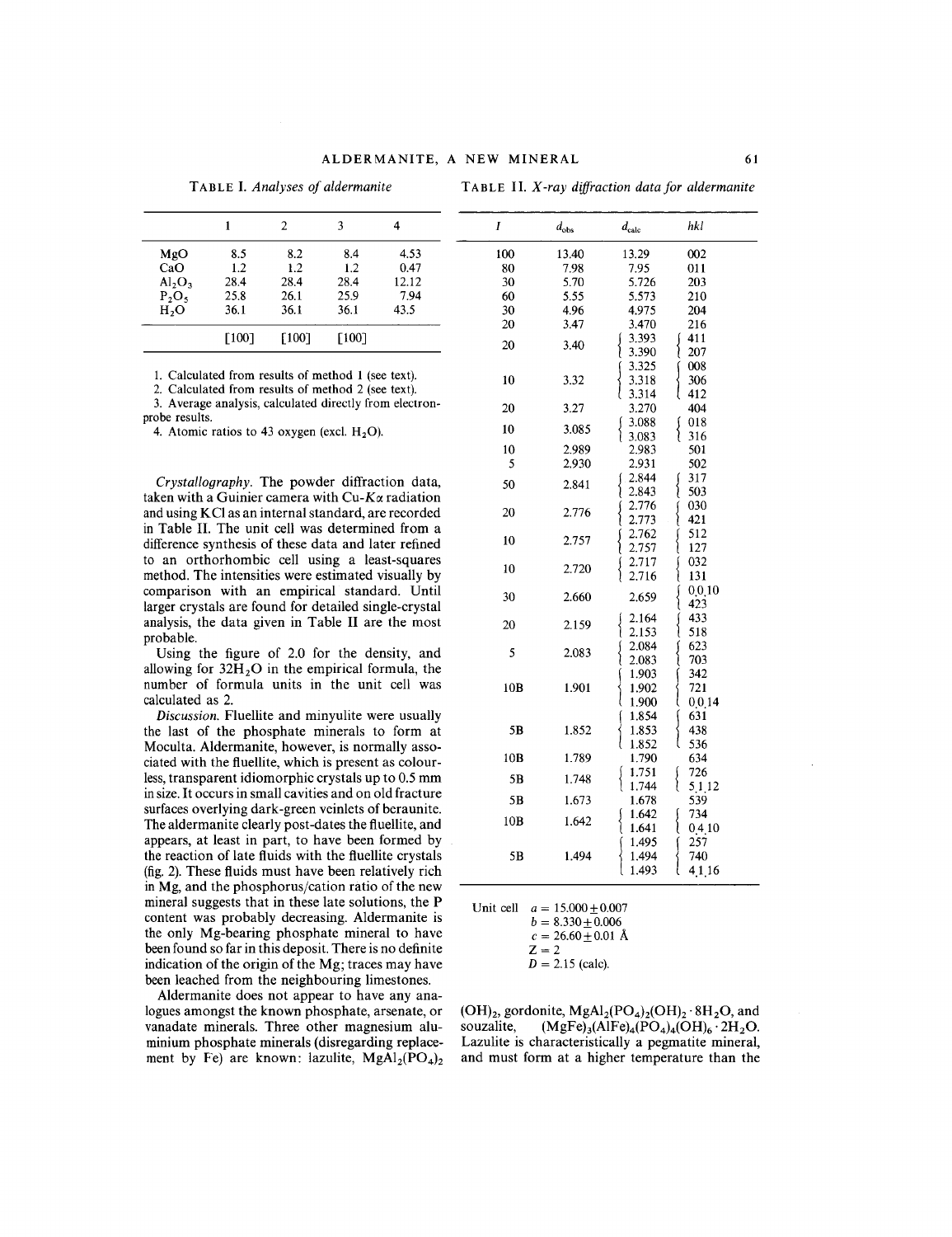*I*

T ABLE I. *Analyses of aldermanite*

|                  |       | 2     | 3     |       |
|------------------|-------|-------|-------|-------|
| MgO              | 8.5   | 8.2   | 8.4   | 4.53  |
| CaO              | 1.2   | 1.2   | 1.2   | 0.47  |
| $Al_2O_3$        | 28.4  | 28.4  | 28.4  | 12.12 |
| $P_2O_5$         | 25.8  | 26.1  | 25.9  | 7.94  |
| H <sub>2</sub> O | 36.1  | 36.1  | 36.1  | 43.5  |
|                  | [100] | [100] | [100] |       |

1. Calculated from results of method 1 (see text).

2. Calculated from results of method 2 (see text).

3. Average analysis, calculated directly from electron-

probe results.

4. Atomic ratios to 43 oxygen (excl.  $H_2O$ ).

*Crystallography.* The powder diffraction data, taken with a Guinier camera with Cu-K<sub>a</sub> radiation and using KCl as an internal standard, are recorded in Table II. The unit cell was determined from a difference synthesis of these data and later refined to an orthorhombic cell using a least-squares method. The intensities were estimated visually by comparison with an empirical standard. Until larger crystals are found for detailed single-crystal analysis, the data given in Table II are the most probable.

Using the figure of 2.0 for the density, and allowing for  $32H<sub>2</sub>O$  in the empirical formula, the number of formula units in the unit cell was calculated as 2.

*Discussion.* Fluellite and minyulite were usually the last of the phosphate minerals to form at Moculta. Aldermanite, however, is normally associated with the fluellite, which is present as colourless, transparent idiomorphic crystals up to 0.5 mm in size.It occurs in small cavities and on old fracture surfaces overlying dark-green veinlets of beraunite. The aldermanite clearly post-dates the fluellite, and appears, at least in part, to have been formed by the reaction of late fluids with the fluellite crystals (fig.2). These fluids must have been relatively rich in Mg, and the phosphorus/cation ratio of the new mineral suggests that in these late solutions, the P content was probably decreasing. Aldermanite is the only Mg-bearing phosphate mineral to have been found so far in this deposit. There is no definite indication of the origin of the Mg; traces may have been leached from the neighbouring limestones.

Aldermanite does not appear to have any analogues amongst the known phosphate, arsenate, or vanadate minerals. Three other magnesium aluminium phosphate minerals (disregarding replacement by Fe) are known: lazulite,  $MgAl<sub>2</sub>(PO<sub>4</sub>)<sub>2</sub>$ 

| 100        | 13.40 | 13.29                       | 002          |
|------------|-------|-----------------------------|--------------|
| 80         | 7.98  | 7.95                        | 011          |
| 30         | 5.70  | 5.726                       | 203          |
| 60         | 5.55  | 5.573                       | 210          |
| 30         | 4.96  | 4.975                       | 204          |
| 20         | 3.47  | 3.470                       | 216          |
|            |       | 3.393                       | 411          |
| 20         | 3,40  | 3.390                       | 207          |
|            |       | 3.325                       | 008          |
| 10         | 3.32  | 3.318                       | 306          |
|            |       | 3.314                       | 412          |
| 20         | 3.27  | 3.270                       | 404          |
|            |       | 3.088                       | 018          |
| 10         | 3.085 | $\{$<br>3.083               | 316          |
| 10         | 2.989 | 2.983                       | 501          |
| 5          | 2.930 | 2.931                       | 502          |
| 50         | 2.841 | 2.844                       | 317          |
|            |       | 2.843                       | 503          |
| 20         | 2.776 | 2.776                       | 030          |
|            |       | 2.773                       | 421          |
| 10         | 2.757 | 2.762                       | 512          |
|            |       | Į<br>2.757                  | 127          |
| 10         | 2.720 | 2.717                       | 032          |
|            |       | $\left\{ \right\}$<br>2.716 | 131          |
| 30         | 2.660 | 2.659                       | 0.010        |
|            |       |                             | 423          |
| 20         | 2.159 | 2.164                       | 433          |
|            |       | 2.153                       | 518          |
| 5          | 2.083 | 2.084<br>∤                  | 623          |
|            |       | 2.083                       | 703          |
|            |       | 1.903                       | 342          |
| 10B        | 1.901 | 1.902                       | 721          |
|            |       | 1.900                       | 0014         |
|            |       | 1.854                       | 631          |
| 5 <b>B</b> | 1.852 | 1.853                       | 438          |
|            |       | 1.852                       | 536          |
| 10B        | 1.789 | 1.790                       | 634          |
| 5B         | 1.748 | Į<br>1.751                  | 726<br>)<br> |
|            |       | 1.744                       | 5.1.12       |
| 5B         | 1.673 | 1.678                       | 539          |
| 10B        | 1.642 | 1.642                       | 734          |
|            |       | 1.641                       | 0.4, 10      |
|            |       | 1.495                       | 257          |
| 5Β         | 1.494 | 1.494                       | 740          |
|            |       | 1 403                       | 41 16        |

Unit cell  $a = 15.000 \pm 0.007$  $b = 8.330 \pm 0.006$  $c = 26.60 \pm 0.01$  A

 $Z=2$  $D = 2.15$  (calc)

 $(OH)_2$ , gordonite,  $MgAl_2(PO_4)_2(OH)_2 \cdot 8H_2O$ , and souzalite,  $(MgFe)_3(AIFe)_4(PO_4)_4(OH)_6 \cdot 2H_2O.$ Lazulite is characteristically a pegmatite mineral, and must form at a higher temperature than the

1.493

4.1.16

*hkl*

TABLE **II.** *X-ray diffraction data for aldermanite*

 $d_{\rm calc}$ 

 $d_{\text{obs}}$